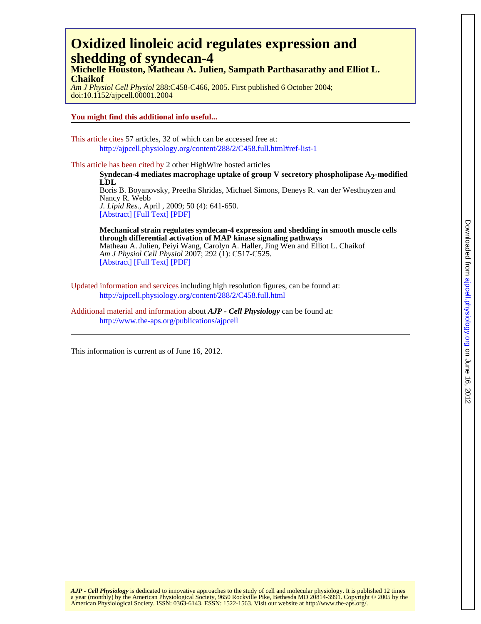# **shedding of syndecan-4 Oxidized linoleic acid regulates expression and**

**Chaikof Michelle Houston, Matheau A. Julien, Sampath Parthasarathy and Elliot L.**

doi:10.1152/ajpcell.00001.2004 *Am J Physiol Cell Physiol* 288:C458-C466, 2005. First published 6 October 2004;

**You might find this additional info useful...**

This article cites 57 articles, 32 of which can be accessed free at: <http://ajpcell.physiology.org/content/288/2/C458.full.html#ref-list-1>

This article has been cited by 2 other HighWire hosted articles

[\[Abstract\]](http://www.jlr.org/content/50/4/641.abstract.html) [\[Full Text\]](http://www.jlr.org/content/50/4/641.full.html) [\[PDF\]](http://www.jlr.org/content/50/4/641.full.pdf) *J. Lipid Res.*, April , 2009; 50 (4): 641-650. Nancy R. Webb Boris B. Boyanovsky, Preetha Shridas, Michael Simons, Deneys R. van der Westhuyzen and **LDL Syndecan-4 mediates macrophage uptake of group V secretory phospholipase A<sub>2</sub>-modified** 

[\[Abstract\]](http://ajpcell.physiology.org/content/292/1/C517.abstract.html) [\[Full Text\]](http://ajpcell.physiology.org/content/292/1/C517.full.html) [\[PDF\]](http://ajpcell.physiology.org/content/292/1/C517.full.pdf) *Am J Physiol Cell Physiol* 2007; 292 (1): C517-C525. Matheau A. Julien, Peiyi Wang, Carolyn A. Haller, Jing Wen and Elliot L. Chaikof **through differential activation of MAP kinase signaling pathways Mechanical strain regulates syndecan-4 expression and shedding in smooth muscle cells**

Updated information and services including high resolution figures, can be found at: <http://ajpcell.physiology.org/content/288/2/C458.full.html>

Additional material and information about *AJP - Cell Physiology* can be found at: http://www.the-aps.org/publications/ajpcell

This information is current as of June 16, 2012.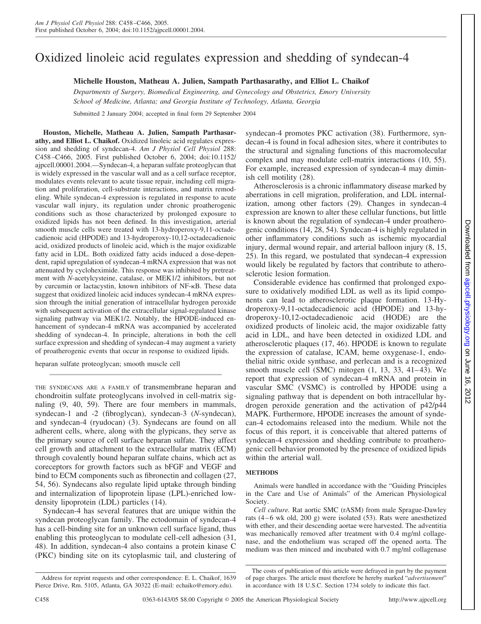## Oxidized linoleic acid regulates expression and shedding of syndecan-4

**Michelle Houston, Matheau A. Julien, Sampath Parthasarathy, and Elliot L. Chaikof**

*Departments of Surgery, Biomedical Engineering, and Gynecology and Obstetrics, Emory University School of Medicine, Atlanta; and Georgia Institute of Technology, Atlanta, Georgia*

Submitted 2 January 2004; accepted in final form 29 September 2004

**Houston, Michelle, Matheau A. Julien, Sampath Parthasarathy, and Elliot L. Chaikof.** Oxidized linoleic acid regulates expression and shedding of syndecan-4. *Am J Physiol Cell Physiol* 288: C458 –C466, 2005. First published October 6, 2004; doi:10.1152/ ajpcell.00001.2004.—Syndecan-4, a heparan sulfate proteoglycan that is widely expressed in the vascular wall and as a cell surface receptor, modulates events relevant to acute tissue repair, including cell migration and proliferation, cell-substrate interactions, and matrix remodeling. While syndecan-4 expression is regulated in response to acute vascular wall injury, its regulation under chronic proatherogenic conditions such as those characterized by prolonged exposure to oxidized lipids has not been defined. In this investigation, arterial smooth muscle cells were treated with 13-hydroperoxy-9,11-octadecadienoic acid (HPODE) and 13-hydroperoxy-10,12-octadecadienoic acid, oxidized products of linoleic acid, which is the major oxidizable fatty acid in LDL. Both oxidized fatty acids induced a dose-dependent, rapid upregulation of syndecan-4 mRNA expression that was not attenuated by cycloheximide. This response was inhibited by pretreatment with *N*-acetylcysteine, catalase, or MEK1/2 inhibitors, but not by curcumin or lactacystin, known inhibitors of NF- $\kappa$ B. These data suggest that oxidized linoleic acid induces syndecan-4 mRNA expression through the initial generation of intracellular hydrogen peroxide with subsequent activation of the extracellular signal-regulated kinase signaling pathway via MEK1/2. Notably, the HPODE-induced enhancement of syndecan-4 mRNA was accompanied by accelerated shedding of syndecan-4. In principle, alterations in both the cell surface expression and shedding of syndecan-4 may augment a variety of proatherogenic events that occur in response to oxidized lipids.

heparan sulfate proteoglycan; smooth muscle cell

THE SYNDECANS ARE A FAMILY of transmembrane heparan and chondroitin sulfate proteoglycans involved in cell-matrix signaling (9, 40, 59). There are four members in mammals, syndecan-1 and -2 (fibroglycan), syndecan-3 (*N*-syndecan), and syndecan-4 (ryudocan) (3). Syndecans are found on all adherent cells, where, along with the glypicans, they serve as the primary source of cell surface heparan sulfate. They affect cell growth and attachment to the extracellular matrix (ECM) through covalently bound heparan sulfate chains, which act as coreceptors for growth factors such as bFGF and VEGF and bind to ECM components such as fibronectin and collagen (27, 54, 56). Syndecans also regulate lipid uptake through binding and internalization of lipoprotein lipase (LPL)-enriched lowdensity lipoprotein (LDL) particles (14).

Syndecan-4 has several features that are unique within the syndecan proteoglycan family. The ectodomain of syndecan-4 has a cell-binding site for an unknown cell surface ligand, thus enabling this proteoglycan to modulate cell-cell adhesion (31, 48). In addition, syndecan-4 also contains a protein kinase C (PKC) binding site on its cytoplasmic tail, and clustering of

Address for reprint requests and other correspondence: E. L. Chaikof, 1639 Pierce Drive, Rm. 5105, Atlanta, GA 30322 (E-mail: echaiko@emory.edu).

syndecan-4 promotes PKC activation (38). Furthermore, syndecan-4 is found in focal adhesion sites, where it contributes to the structural and signaling functions of this macromolecular complex and may modulate cell-matrix interactions (10, 55). For example, increased expression of syndecan-4 may diminish cell motility (28).

Atherosclerosis is a chronic inflammatory disease marked by aberrations in cell migration, proliferation, and LDL internalization, among other factors (29). Changes in syndecan-4 expression are known to alter these cellular functions, but little is known about the regulation of syndecan-4 under proatherogenic conditions (14, 28, 54). Syndecan-4 is highly regulated in other inflammatory conditions such as ischemic myocardial injury, dermal wound repair, and arterial balloon injury (8, 15, 25). In this regard, we postulated that syndecan-4 expression would likely be regulated by factors that contribute to atherosclerotic lesion formation.

Considerable evidence has confirmed that prolonged exposure to oxidatively modified LDL as well as its lipid components can lead to atherosclerotic plaque formation. 13-Hydroperoxy-9,11-octadecadienoic acid (HPODE) and 13-hydroperoxy-10,12-octadecadienoic acid (HODE) are the oxidized products of linoleic acid, the major oxidizable fatty acid in LDL, and have been detected in oxidized LDL and atherosclerotic plaques (17, 46). HPODE is known to regulate the expression of catalase, ICAM, heme oxygenase-1, endothelial nitric oxide synthase, and perlecan and is a recognized smooth muscle cell (SMC) mitogen  $(1, 13, 33, 41-43)$ . We report that expression of syndecan-4 mRNA and protein in vascular SMC (VSMC) is controlled by HPODE using a signaling pathway that is dependent on both intracellular hydrogen peroxide generation and the activation of p42/p44 MAPK. Furthermore, HPODE increases the amount of syndecan-4 ectodomains released into the medium. While not the focus of this report, it is conceivable that altered patterns of syndecan-4 expression and shedding contribute to proatherogenic cell behavior promoted by the presence of oxidized lipids within the arterial wall.

#### **METHODS**

Animals were handled in accordance with the "Guiding Principles in the Care and Use of Animals" of the American Physiological Society.

*Cell culture.* Rat aortic SMC (rASM) from male Sprague-Dawley rats  $(4-6 \text{ wk old}, 200 \text{ g})$  were isolated (53). Rats were anesthetized with ether, and their descending aortae were harvested. The adventitia was mechanically removed after treatment with 0.4 mg/ml collagenase, and the endothelium was scraped off the opened aorta. The medium was then minced and incubated with 0.7 mg/ml collagenase

The costs of publication of this article were defrayed in part by the payment of page charges. The article must therefore be hereby marked "*advertisement*" in accordance with 18 U.S.C. Section 1734 solely to indicate this fact.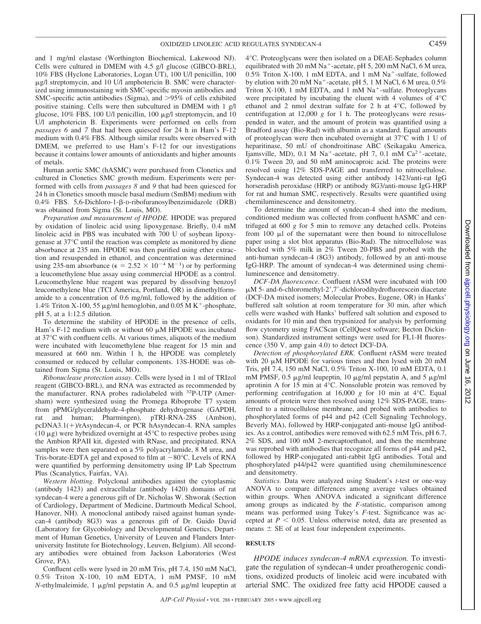and 1 mg/ml elastase (Worthington Biochemical, Lakewood NJ). Cells were cultured in DMEM with 4.5 g/l glucose (GIBCO-BRL), 10% FBS (Hyclone Laboratories, Logan UT), 100 U/l penicillin, 100 µg/l streptomycin, and 10 U/l amphotericin B. SMC were characterized using immunostaining with SMC-specific myosin antibodies and SMC-specific actin antibodies (Sigma), and >95% of cells exhibited positive staining. Cells were then subcultured in DMEM with 1 g/l glucose, 10% FBS, 100 U/l penicillin, 100 µg/l streptomycin, and 10 U/l amphotericin B. Experiments were performed on cells from *passages 6* and *7* that had been quiesced for 24 h in Ham's F-12 medium with 0.4% FBS. Although similar results were observed with DMEM, we preferred to use Ham's F-12 for our investigations because it contains lower amounts of antioxidants and higher amounts of metals.

Human aortic SMC (hASMC) were purchased from Clonetics and cultured in Clonetics SMC growth medium. Experiments were performed with cells from *passages 8* and *9* that had been quiesced for 24 h in Clonetics smooth muscle basal medium (SmBM) medium with 0.4% FBS. 5,6-Dichloro-1-β-D-ribofuranosylbenzimidazole (DRB) was obtained from Sigma (St. Louis, MO).

*Preparation and measurement of HPODE.* HPODE was prepared by oxidation of linoleic acid using lipoxygenase. Briefly, 0.4 mM linoleic acid in PBS was incubated with 700 U of soybean lipoxygenase at 37°C until the reaction was complete as monitored by diene absorbance at 235 nm. HPODE was then purified using ether extraction and resuspended in ethanol, and concentration was determined using 235-nm absorbance ( $\epsilon = 2.52 \times 10^{-4} \text{ M}^{-1}$ ) or by performing a leucomethylene blue assay using commercial HPODE as a control. Leucomethylene blue reagent was prepared by dissolving benzoyl leucomethylene blue (TCI America, Portland, OR) in dimethylformamide to a concentration of 0.6 mg/ml, followed by the addition of 1.4% Triton X-100, 55  $\mu$ g/ml hemoglobin, and 0.05 MK<sup>+</sup>-phosphate, pH 5, at a 1:12.5 dilution.

To determine the stability of HPODE in the presence of cells, Ham's F-12 medium with or without 60  $\mu$ M HPODE was incubated at 37°C with confluent cells. At various times, aliquots of the medium were incubated with leucomethylene blue reagent for 15 min and measured at 660 nm. Within 1 h, the HPODE was completely consumed or reduced by cellular components. 13S-HODE was obtained from Sigma (St. Louis, MO).

*Ribonuclease protection assay.* Cells were lysed in 1 ml of TRIzol reagent (GIBCO-BRL), and RNA was extracted as recommended by the manufacturer. RNA probes radiolabeled with 32P-UTP (Amersham) were synthesized using the Promega Riboprobe T7 system from pPMG/glyceraldehyde-4-phosphate dehydrogenase (GAPDH, rat and human; Pharmingen), pTRI-RNA-28S (Ambion), pcDNA3.1(+)/rAsyndecan-4, or PCR hAsyndecan-4. RNA samples (10  $\mu$ g) were hybridized overnight at 45°C to respective probes using the Ambion RPAII kit, digested with RNase, and precipitated. RNA samples were then separated on a 5% polyacrylamide, 8 M urea, and Tris-borate-EDTA gel and exposed to film at  $-80^{\circ}$ C. Levels of RNA were quantified by performing densitometry using IP Lab Spectrum Plus (Scanalytics, Fairfax, VA).

*Western blotting.* Polyclonal antibodies against the cytoplasmic (antibody 1423) and extracellular (antibody 1420) domains of rat syndecan-4 were a generous gift of Dr. Nicholas W. Shworak (Section of Cardiology, Department of Medicine, Dartmouth Medical School, Hanover, NH). A monoclonal antibody raised against human syndecan-4 (antibody 8G3) was a generous gift of Dr. Guido David (Laboratory for Glycobiology and Developmental Genetics, Department of Human Genetics, University of Leuven and Flanders Interuniversity Institute for Biotechnology, Leuven, Belgium). All secondary antibodies were obtained from Jackson Laboratories (West Grove, PA).

Confluent cells were lysed in 20 mM Tris, pH 7.4, 150 mM NaCl, 0.5% Triton X-100, 10 mM EDTA, 1 mM PMSF, 10 mM  $N$ -ethylmaleimide, 1  $\mu$ g/ml pepstatin A, and 0.5  $\mu$ g/ml leupeptin at

4°C. Proteoglycans were then isolated on a DEAE-Sephadex column equilibrated with 20 mM Na<sup>+</sup>-acetate, pH 5, 200 mM NaCl, 6 M urea,  $0.5\%$  Triton X-100, 1 mM EDTA, and 1 mM Na<sup>+</sup>-sulfate, followed by elution with 20 mM  $Na^+$ -acetate, pH 5, 1 M NaCl, 6 M urea, 0.5% Triton X-100, 1 mM EDTA, and 1 mM  $Na<sup>+</sup>$ -sulfate. Proteoglycans were precipitated by incubating the eluent with 4 volumes of 4°C ethanol and 2 nmol dextran sulfate for 2 h at 4°C, followed by centrifugation at 12,000  $g$  for 1 h. The proteoglycans were resuspended in water, and the amount of protein was quantified using a Bradford assay (Bio-Rad) with albumin as a standard. Equal amounts of proteoglycan were then incubated overnight at 37°C with 1 U of heparitinase, 50 mU of chondroitinase ABC (Seikagaku America, Ijamsville, MD), 0.1 M Na<sup>+</sup>-acetate, pH 7, 0.1 mM Ca<sup>2+</sup>-acetate, 0.1% Tween 20, and 50 mM aminocaproic acid. The proteins were resolved using 12% SDS-PAGE and transferred to nitrocellulose. Syndecan-4 was detected using either antibody 1423/anti-rat IgG horseradish peroxidase (HRP) or antibody 8G3/anti-mouse IgG-HRP for rat and human SMC, respectively. Results were quantified using chemiluminescence and densitometry.

To determine the amount of syndecan-4 shed into the medium, conditioned medium was collected from confluent hASMC and centrifuged at 600 *g* for 5 min to remove any detached cells. Proteins from  $100 \mu l$  of the supernatant were then bound to nitrocellulose paper using a slot blot apparatus (Bio-Rad). The nitrocellulose was blocked with 5% milk in 2% Tween 20-PBS and probed with the anti-human syndecan-4 (8G3) antibody, followed by an anti-mouse IgG-HRP. The amount of syndecan-4 was determined using chemiluminescence and densitometry.

*DCF-DA fluorescence.* Confluent rASM were incubated with 100 µM 5- and-6-chloromethyl-2',7'-dichlorodihydrofluorescein diacetate (DCF-DA mixed isomers; Molecular Probes, Eugene, OR) in Hanks' buffered salt solution at room temperature for 30 min, after which cells were washed with Hanks' buffered salt solution and exposed to oxidants for 10 min and then trypsinized for analysis by performing flow cytometry using FACScan (CellQuest software; Becton Dickinson). Standardized instrument settings were used for FL1-H fluorescence (350 V, amp gain 4.0) to detect DCF-DA.

*Detection of phosphorylated ERK.* Confluent rASM were treated with 20  $\mu$ M HPODE for various times and then lysed with 20 mM Tris, pH 7.4, 150 mM NaCl, 0.5% Triton X-100, 10 mM EDTA, 0.1 mM PMSF, 0.5  $\mu$ g/ml leupeptin, 10  $\mu$ g/ml pepstatin A, and 5  $\mu$ g/ml aprotinin A for 15 min at 4°C. Nonsoluble protein was removed by performing centrifugation at 16,000 *g* for 10 min at 4°C. Equal amounts of protein were then resolved using 12% SDS-PAGE, transferred to a nitrocellulose membrane, and probed with antibodies to phosphorylated forms of p44 and p42 (Cell Signaling Technology, Beverly MA), followed by HRP-conjugated anti-mouse IgG antibodies. As a control, antibodies were removed with 62.5 mM Tris, pH 6.7, 2% SDS, and 100 mM 2-mercaptoethanol, and then the membrane was reprobed with antibodies that recognize all forms of p44 and p42, followed by HRP-conjugated anti-rabbit IgG antibodies. Total and phosphorylated p44/p42 were quantified using chemiluminescence and densitometry.

*Statistics.* Data were analyzed using Student's *t*-test or one-way ANOVA to compare differences among average values obtained within groups. When ANOVA indicated a significant difference among groups as indicated by the *F*-statistic, comparison among means was performed using Tukey's *F*-test. Significance was accepted at  $P < 0.05$ . Unless otherwise noted, data are presented as means  $\pm$  SE of at least four independent experiments.

#### **RESULTS**

*HPODE induces syndecan-4 mRNA expression.* To investigate the regulation of syndecan-4 under proatherogenic conditions, oxidized products of linoleic acid were incubated with arterial SMC. The oxidized free fatty acid HPODE caused a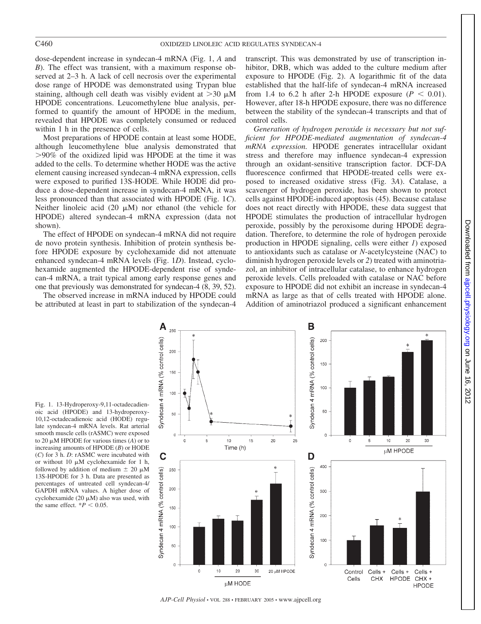dose-dependent increase in syndecan-4 mRNA (Fig. 1, *A* and *B*). The effect was transient, with a maximum response observed at 2–3 h. A lack of cell necrosis over the experimental dose range of HPODE was demonstrated using Trypan blue staining, although cell death was visibly evident at  $>$ 30  $\mu$ M HPODE concentrations. Leucomethylene blue analysis, performed to quantify the amount of HPODE in the medium, revealed that HPODE was completely consumed or reduced within 1 h in the presence of cells.

Most preparations of HPODE contain at least some HODE, although leucomethylene blue analysis demonstrated that 90% of the oxidized lipid was HPODE at the time it was added to the cells. To determine whether HODE was the active element causing increased syndecan-4 mRNA expression, cells were exposed to purified 13S-HODE. While HODE did produce a dose-dependent increase in syndecan-4 mRNA, it was less pronounced than that associated with HPODE (Fig. 1*C*). Neither linoleic acid (20  $\mu$ M) nor ethanol (the vehicle for HPODE) altered syndecan-4 mRNA expression (data not shown).

The effect of HPODE on syndecan-4 mRNA did not require de novo protein synthesis. Inhibition of protein synthesis before HPODE exposure by cyclohexamide did not attenuate enhanced syndecan-4 mRNA levels (Fig. 1*D*). Instead, cyclohexamide augmented the HPODE-dependent rise of syndecan-4 mRNA, a trait typical among early response genes and one that previously was demonstrated for syndecan-4 (8, 39, 52).

The observed increase in mRNA induced by HPODE could be attributed at least in part to stabilization of the syndecan-4

transcript. This was demonstrated by use of transcription inhibitor, DRB, which was added to the culture medium after exposure to HPODE (Fig. 2). A logarithmic fit of the data established that the half-life of syndecan-4 mRNA increased from 1.4 to 6.2 h after 2-h HPODE exposure  $(P < 0.01)$ . However, after 18-h HPODE exposure, there was no difference between the stability of the syndecan-4 transcripts and that of control cells.

*Generation of hydrogen peroxide is necessary but not sufficient for HPODE-mediated augmentation of syndecan-4 mRNA expression.* HPODE generates intracellular oxidant stress and therefore may influence syndecan-4 expression through an oxidant-sensitive transcription factor. DCF-DA fluorescence confirmed that HPODE-treated cells were exposed to increased oxidative stress (Fig. 3*A*). Catalase, a scavenger of hydrogen peroxide, has been shown to protect cells against HPODE-induced apoptosis (45). Because catalase does not react directly with HPODE, these data suggest that HPODE stimulates the production of intracellular hydrogen peroxide, possibly by the peroxisome during HPODE degradation. Therefore, to determine the role of hydrogen peroxide production in HPODE signaling, cells were either *1*) exposed to antioxidants such as catalase or *N*-acetylcysteine (NAC) to diminish hydrogen peroxide levels or *2*) treated with aminotriazol, an inhibitor of intracellular catalase, to enhance hydrogen peroxide levels. Cells preloaded with catalase or NAC before exposure to HPODE did not exhibit an increase in syndecan-4 mRNA as large as that of cells treated with HPODE alone. Addition of aminotriazol produced a significant enhancement

Fig. 1. 13-Hydroperoxy-9,11-octadecadienoic acid (HPODE) and 13-hydroperoxy-10,12-octadecadienoic acid (HODE) regulate syndecan-4 mRNA levels. Rat arterial smooth muscle cells (rASMC) were exposed to 20  $\mu$ M HPODE for various times (A) or to increasing amounts of HPODE (*B*) or HODE (*C*) for 3 h. *D*: rASMC were incubated with or without 10  $\mu$ M cyclohexamide for 1 h, followed by addition of medium  $\pm 20 \mu M$ 13S-HPODE for 3 h. Data are presented as percentages of untreated cell syndecan-4/ GAPDH mRNA values. A higher dose of cyclohexamide (20  $\mu$ M) also was used, with the same effect.  $*P < 0.05$ .



*AJP-Cell Physiol* • VOL 288 • FEBRUARY 2005 • www.ajpcell.org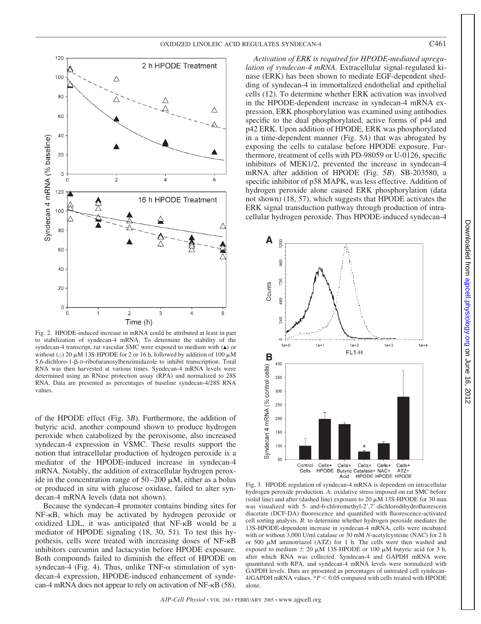

Fig. 2. HPODE-induced increase in mRNA could be attributed at least in part to stabilization of syndecan-4 mRNA. To determine the stability of the syndecan-4 transcript, rat vascular SMC were exposed to medium with  $(\triangle)$  or without ( $\triangle$ ) 20  $\mu$ M 13S-HPODE for 2 or 16 h, followed by addition of 100  $\mu$ M 5,6-dichloro-1-ß-D-ribofuranosylbenzimidazole to inhibit transcription. Total RNA was then harvested at various times. Syndecan-4 mRNA levels were determined using an RNase protection assay (RPA) and normalized to 28S RNA. Data are presented as percentages of baseline syndecan-4/28S RNA values.

of the HPODE effect (Fig. 3*B*). Furthermore, the addition of butyric acid, another compound shown to produce hydrogen peroxide when catabolized by the peroxisome, also increased syndecan-4 expression in VSMC. These results support the notion that intracellular production of hydrogen peroxide is a mediator of the HPODE-induced increase in syndecan-4 mRNA. Notably, the addition of extracellular hydrogen peroxide in the concentration range of  $50-200 \mu M$ , either as a bolus or produced in situ with glucose oxidase, failed to alter syndecan-4 mRNA levels (data not shown).

Because the syndecan-4 promoter contains binding sites for NF-KB, which may be activated by hydrogen peroxide or oxidized LDL, it was anticipated that NF-KB would be a mediator of HPODE signaling (18, 30, 51). To test this hypothesis, cells were treated with increasing doses of NF- $\kappa$ B inhibitors curcumin and lactacystin before HPODE exposure. Both compounds failed to diminish the effect of HPODE on syndecan-4 (Fig. 4). Thus, unlike  $TNF-\alpha$  stimulation of syndecan-4 expression, HPODE-induced enhancement of syndecan-4 mRNA does not appear to rely on activation of  $NF-\kappa B$  (58).

*Activation of ERK is required for HPODE-mediated upregulation of syndecan-4 mRNA.* Extracellular signal-regulated kinase (ERK) has been shown to mediate EGF-dependent shedding of syndecan-4 in immortalized endothelial and epithelial cells (12). To determine whether ERK activation was involved in the HPODE-dependent increase in syndecan-4 mRNA expression, ERK phosphorylation was examined using antibodies specific to the dual phosphorylated, active forms of p44 and p42 ERK. Upon addition of HPODE, ERK was phosphorylated in a time-dependent manner (Fig. 5*A*) that was abrogated by exposing the cells to catalase before HPODE exposure. Furthermore, treatment of cells with PD-98059 or U-0126, specific inhibitors of MEK1/2, prevented the increase in syndecan-4 mRNA after addition of HPODE (Fig. 5*B*). SB-203580, a specific inhibitor of p38 MAPK, was less effective. Addition of hydrogen peroxide alone caused ERK phosphorylation (data not shown) (18, 57), which suggests that HPODE activates the ERK signal transduction pathway through production of intracellular hydrogen peroxide. Thus HPODE-induced syndecan-4



Fig. 3. HPODE regulation of syndecan-4 mRNA is dependent on intracellular hydrogen peroxide production. *A*: oxidative stress imposed on rat SMC before (solid line) and after (dashed line) exposure to 20  $\mu$ M 13S-HPODE for 30 min was visualized with 5- and-6-chloromethyl-2 ,7 -dichlorodihydrofluorescein diacetate (DCF-DA) fluorescence and quantified with fluorescence-activated cell sorting analysis. *B*: to determine whether hydrogen peroxide mediates the 13S-HPODE-dependent increase in syndecan-4 mRNA, cells were incubated with or without 3,000 U/ml catalase or 30 mM *N*-acetylcysteine (NAC) for 2 h or 500  $\mu$ M aminotriazol (ATZ) for 1 h. The cells were then washed and exposed to medium  $\pm 20 \mu M$  13S-HPODE or 100  $\mu$ M butyric acid for 3 h, after which RNA was collected. Syndecan-4 and GAPDH mRNA were quantitated with RPA, and syndecan-4 mRNA levels were normalized with GAPDH levels. Data are presented as percentages of untreated cell syndecan- $4/GAPDH$  mRNA values.  $*P < 0.05$  compared with cells treated with HPODE alone.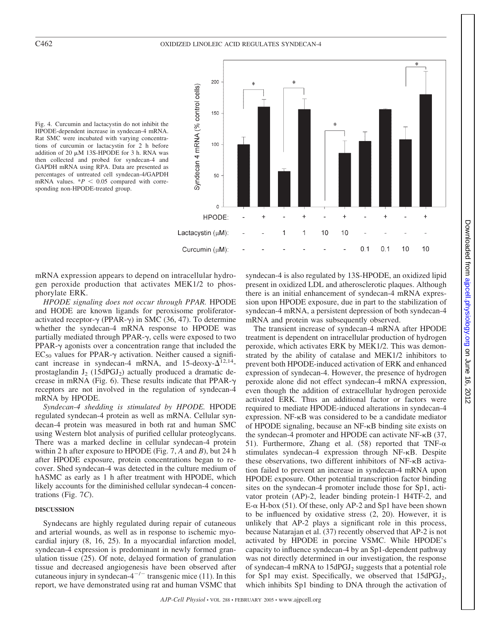### C462 OXIDIZED LINOLEIC ACID REGULATES SYNDECAN-4

Fig. 4. Curcumin and lactacystin do not inhibit the HPODE-dependent increase in syndecan-4 mRNA. Rat SMC were incubated with varying concentrations of curcumin or lactacystin for 2 h before addition of 20  $\mu$ M 13S-HPODE for 3 h. RNA was then collected and probed for syndecan-4 and GAPDH mRNA using RPA. Data are presented as percentages of untreated cell syndecan-4/GAPDH mRNA values.  $*P < 0.05$  compared with corresponding non-HPODE-treated group.



mRNA expression appears to depend on intracellular hydrogen peroxide production that activates MEK1/2 to phosphorylate ERK.

*HPODE signaling does not occur through PPAR.* HPODE and HODE are known ligands for peroxisome proliferatoractivated receptor- $\gamma$  (PPAR- $\gamma$ ) in SMC (36, 47). To determine whether the syndecan-4 mRNA response to HPODE was partially mediated through PPAR- $\gamma$ , cells were exposed to two PPAR- $\gamma$  agonists over a concentration range that included the  $EC_{50}$  values for PPAR- $\gamma$  activation. Neither caused a significant increase in syndecan-4 mRNA, and 15-deoxy- $\Delta^{12,14}$ prostaglandin  $J_2$  (15dPGJ<sub>2</sub>) actually produced a dramatic decrease in mRNA (Fig. 6). These results indicate that PPAR- $\gamma$ receptors are not involved in the regulation of syndecan-4 mRNA by HPODE.

*Syndecan-4 shedding is stimulated by HPODE.* HPODE regulated syndecan-4 protein as well as mRNA. Cellular syndecan-4 protein was measured in both rat and human SMC using Western blot analysis of purified cellular proteoglycans. There was a marked decline in cellular syndecan-4 protein within 2 h after exposure to HPODE (Fig. 7, *A* and *B*), but 24 h after HPODE exposure, protein concentrations began to recover. Shed syndecan-4 was detected in the culture medium of hASMC as early as 1 h after treatment with HPODE, which likely accounts for the diminished cellular syndecan-4 concentrations (Fig. 7*C*).

#### **DISCUSSION**

Syndecans are highly regulated during repair of cutaneous and arterial wounds, as well as in response to ischemic myocardial injury (8, 16, 25). In a myocardial infarction model, syndecan-4 expression is predominant in newly formed granulation tissue (25). Of note, delayed formation of granulation tissue and decreased angiogenesis have been observed after cutaneous injury in syndecan- $4^{-/-}$  transgenic mice (11). In this report, we have demonstrated using rat and human VSMC that syndecan-4 is also regulated by 13S-HPODE, an oxidized lipid present in oxidized LDL and atherosclerotic plaques. Although there is an initial enhancement of syndecan-4 mRNA expression upon HPODE exposure, due in part to the stabilization of syndecan-4 mRNA, a persistent depression of both syndecan-4 mRNA and protein was subsequently observed.

The transient increase of syndecan-4 mRNA after HPODE treatment is dependent on intracellular production of hydrogen peroxide, which activates ERK by MEK1/2. This was demonstrated by the ability of catalase and MEK1/2 inhibitors to prevent both HPODE-induced activation of ERK and enhanced expression of syndecan-4. However, the presence of hydrogen peroxide alone did not effect syndecan-4 mRNA expression, even though the addition of extracellular hydrogen peroxide activated ERK. Thus an additional factor or factors were required to mediate HPODE-induced alterations in syndecan-4 expression.  $NF-\kappa B$  was considered to be a candidate mediator of HPODE signaling, because an NF- $\kappa$ B binding site exists on the syndecan-4 promoter and HPODE can activate  $NF-\kappa B$  (37, 51). Furthermore, Zhang et al. (58) reported that TNF- $\alpha$ stimulates syndecan-4 expression through NF- $\kappa$ B. Despite these observations, two different inhibitors of  $NF-\kappa B$  activation failed to prevent an increase in syndecan-4 mRNA upon HPODE exposure. Other potential transcription factor binding sites on the syndecan-4 promoter include those for Sp1, activator protein (AP)-2, leader binding protein-1 H4TF-2, and  $E$ - $\alpha$  H-box (51). Of these, only AP-2 and Sp1 have been shown to be influenced by oxidative stress (2, 20). However, it is unlikely that AP-2 plays a significant role in this process, because Natarajan et al. (37) recently observed that AP-2 is not activated by HPODE in porcine VSMC. While HPODE's capacity to influence syndecan-4 by an Sp1-dependent pathway was not directly determined in our investigation, the response of syndecan-4 mRNA to 15dPGJ2 suggests that a potential role for Sp1 may exist. Specifically, we observed that 15dPGJ<sub>2</sub>, which inhibits Sp1 binding to DNA through the activation of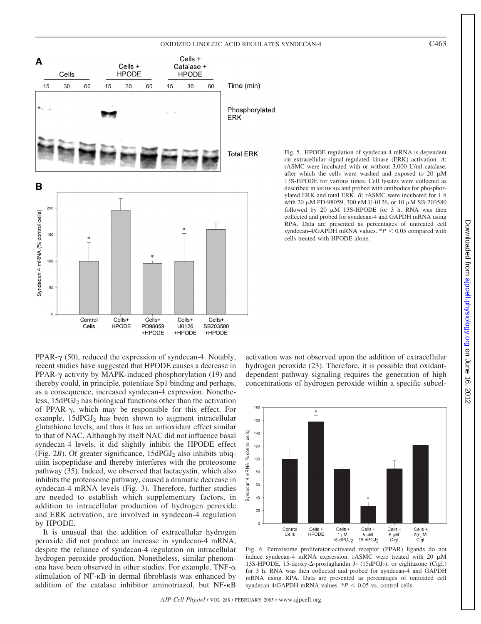#### OXIDIZED LINOLEIC ACID REGULATES SYNDECAN-4 C463



PPAR- $\gamma$  (50), reduced the expression of syndecan-4. Notably, recent studies have suggested that HPODE causes a decrease in PPAR- $\gamma$  activity by MAPK-induced phosphorylation (19) and thereby could, in principle, potentiate Sp1 binding and perhaps, as a consequence, increased syndecan-4 expression. Nonetheless, 15dPGJ2 has biological functions other than the activation of PPAR- $\gamma$ , which may be responsible for this effect. For example,  $15dPGJ<sub>2</sub>$  has been shown to augment intracellular glutathione levels, and thus it has an antioxidant effect similar to that of NAC. Although by itself NAC did not influence basal syndecan-4 levels, it did slightly inhibit the HPODE effect (Fig.  $2B$ ). Of greater significance,  $15dPGJ<sub>2</sub>$  also inhibits ubiquitin isopeptidase and thereby interferes with the proteosome pathway (35). Indeed, we observed that lactacystin, which also inhibits the proteosome pathway, caused a dramatic decrease in syndecan-4 mRNA levels (Fig. 3). Therefore, further studies are needed to establish which supplementary factors, in addition to intracellular production of hydrogen peroxide and ERK activation, are involved in syndecan-4 regulation by HPODE.

It is unusual that the addition of extracellular hydrogen peroxide did not produce an increase in syndecan-4 mRNA, despite the reliance of syndecan-4 regulation on intracellular hydrogen peroxide production. Nonetheless, similar phenomena have been observed in other studies. For example, TNF- $\alpha$ stimulation of NF- $\kappa$ B in dermal fibroblasts was enhanced by addition of the catalase inhibitor aminotriazol, but NF-KB

Fig. 5. HPODE regulation of syndecan-4 mRNA is dependent on extracellular signal-regulated kinase (ERK) activation. *A*: rASMC were incubated with or without 3,000 U/ml catalase, after which the cells were washed and exposed to  $20 \mu M$ 13S-HPODE for various times. Cell lysates were collected as described in METHODS and probed with antibodies for phosphorylated ERK and total ERK. *B*: rASMC were incubated for 1 h with 20  $\mu$ M PD-98059, 300 nM U-0126, or 10  $\mu$ M SB-203580 followed by  $20 \mu M$  13S-HPODE for 3 h. RNA was then collected and probed for syndecan-4 and GAPDH mRNA using RPA. Data are presented as percentages of untreated cell syndecan-4/GAPDH mRNA values.  $*P < 0.05$  compared with cells treated with HPODE alone.

activation was not observed upon the addition of extracellular hydrogen peroxide (23). Therefore, it is possible that oxidantdependent pathway signaling requires the generation of high concentrations of hydrogen peroxide within a specific subcel-



Fig. 6. Peroxisome proliferator-activated receptor (PPAR) ligands do not induce syndecan-4 mRNA expression.  $r$ ASMC were treated with 20  $\mu$ M 13S-HPODE, 15-deoxy- $\Delta$ -prostaglandin J<sub>2</sub> (15dPGJ<sub>2</sub>), or ciglitazone (Cigl.) for 3 h. RNA was then collected and probed for syndecan-4 and GAPDH mRNA using RPA. Data are presented as percentages of untreated cell syndecan-4/GAPDH mRNA values.  $*P < 0.05$  vs. control cells.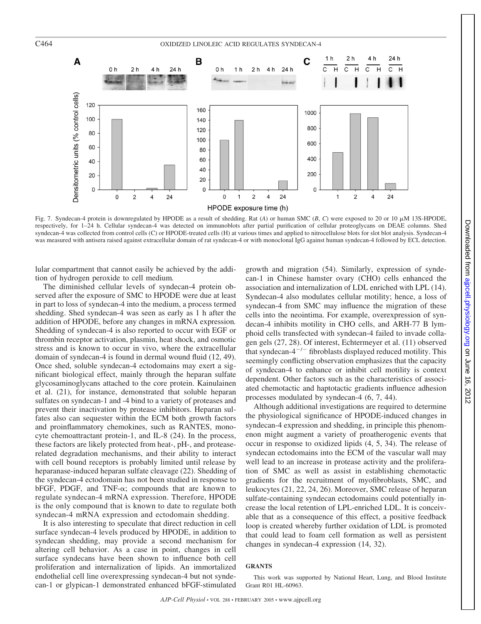#### C464 OXIDIZED LINOLEIC ACID REGULATES SYNDECAN-4



Fig. 7. Syndecan-4 protein is downregulated by HPODE as a result of shedding. Rat  $(A)$  or human SMC  $(B, C)$  were exposed to 20 or 10  $\mu$ M 13S-HPODE, respectively, for 1–24 h. Cellular syndecan-4 was detected on immunoblots after partial purification of cellular proteoglycans on DEAE columns. Shed syndecan-4 was collected from control cells (C) or HPODE-treated cells (H) at various times and applied to nitrocellulose blots for slot blot analysis. Syndecan-4 was measured with antisera raised against extracellular domain of rat syndecan-4 or with monoclonal IgG against human syndecan-4 followed by ECL detection.

lular compartment that cannot easily be achieved by the addition of hydrogen peroxide to cell medium*.*

The diminished cellular levels of syndecan-4 protein observed after the exposure of SMC to HPODE were due at least in part to loss of syndecan-4 into the medium, a process termed shedding. Shed syndecan-4 was seen as early as 1 h after the addition of HPODE, before any changes in mRNA expression*.* Shedding of syndecan-4 is also reported to occur with EGF or thrombin receptor activation, plasmin, heat shock, and osmotic stress and is known to occur in vivo, where the extracellular domain of syndecan-4 is found in dermal wound fluid (12, 49). Once shed, soluble syndecan-4 ectodomains may exert a significant biological effect, mainly through the heparan sulfate glycosaminoglycans attached to the core protein. Kainulainen et al. (21), for instance, demonstrated that soluble heparan sulfates on syndecan-1 and -4 bind to a variety of proteases and prevent their inactivation by protease inhibitors. Heparan sulfates also can sequester within the ECM both growth factors and proinflammatory chemokines, such as RANTES, monocyte chemoattractant protein-1, and IL-8 (24). In the process, these factors are likely protected from heat-, pH-, and proteaserelated degradation mechanisms, and their ability to interact with cell bound receptors is probably limited until release by heparanase-induced heparan sulfate cleavage (22). Shedding of the syndecan-4 ectodomain has not been studied in response to bFGF, PDGF, and TNF- $\alpha$ ; compounds that are known to regulate syndecan-4 mRNA expression. Therefore, HPODE is the only compound that is known to date to regulate both syndecan-4 mRNA expression and ectodomain shedding.

It is also interesting to speculate that direct reduction in cell surface syndecan-4 levels produced by HPODE, in addition to syndecan shedding, may provide a second mechanism for altering cell behavior. As a case in point, changes in cell surface syndecans have been shown to influence both cell proliferation and internalization of lipids. An immortalized endothelial cell line overexpressing syndecan-4 but not syndecan-1 or glypican-1 demonstrated enhanced bFGF-stimulated growth and migration (54). Similarly, expression of syndecan-1 in Chinese hamster ovary (CHO) cells enhanced the association and internalization of LDL enriched with LPL (14). Syndecan-4 also modulates cellular motility; hence, a loss of syndecan-4 from SMC may influence the migration of these cells into the neointima. For example, overexpression of syndecan-4 inhibits motility in CHO cells, and ARH-77 B lymphoid cells transfected with syndecan-4 failed to invade collagen gels (27, 28). Of interest, Echtermeyer et al. (11) observed that syndecan- $4^{-/-}$  fibroblasts displayed reduced motility. This seemingly conflicting observation emphasizes that the capacity of syndecan-4 to enhance or inhibit cell motility is context dependent. Other factors such as the characteristics of associated chemotactic and haptotactic gradients influence adhesion processes modulated by syndecan-4 (6, 7, 44).

Although additional investigations are required to determine the physiological significance of HPODE-induced changes in syndecan-4 expression and shedding, in principle this phenomenon might augment a variety of proatherogenic events that occur in response to oxidized lipids (4, 5, 34). The release of syndecan ectodomains into the ECM of the vascular wall may well lead to an increase in protease activity and the proliferation of SMC as well as assist in establishing chemotactic gradients for the recruitment of myofibroblasts, SMC, and leukocytes (21, 22, 24, 26). Moreover, SMC release of heparan sulfate-containing syndecan ectodomains could potentially increase the local retention of LPL-enriched LDL. It is conceivable that as a consequence of this effect, a positive feedback loop is created whereby further oxidation of LDL is promoted that could lead to foam cell formation as well as persistent changes in syndecan-4 expression (14, 32).

#### **GRANTS**

This work was supported by National Heart, Lung, and Blood Institute Grant R01 HL-60963.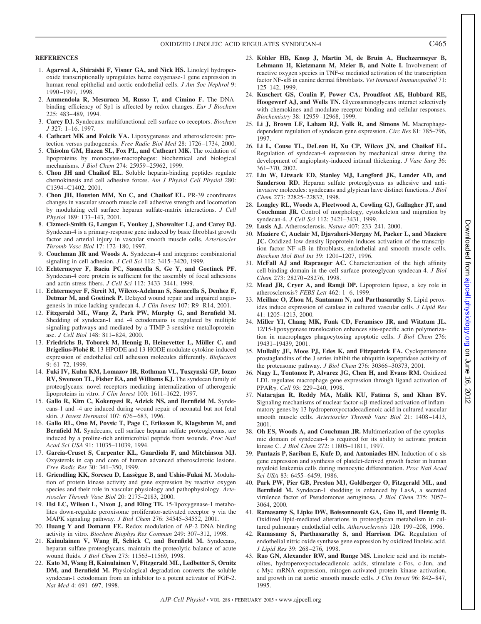#### **REFERENCES**

- 1. **Agarwal A, Shiraishi F, Visner GA, and Nick HS.** Linoleyl hydroperoxide transcriptionally upregulates heme oxygenase-1 gene expression in human renal epithelial and aortic endothelial cells. *J Am Soc Nephrol* 9: 1990 –1997, 1998.
- 2. **Ammendola R, Mesuraca M, Russo T, and Cimino F.** The DNAbinding efficiency of Sp1 is affected by redox changes. *Eur J Biochem* 225: 483– 489, 1994.
- 3. **Carey DJ.** Syndecans: multifunctional cell-surface co-receptors. *Biochem J* 327: 1–16. 1997.
- 4. **Cathcart MK and Folcik VA.** Lipoxygenases and atherosclerosis: protection versus pathogenesis. *Free Radic Biol Med* 28: 1726 –1734, 2000.
- 5. **Chisolm GM, Hazen SL, Fox PL, and Cathcart MK.** The oxidation of lipoproteins by monocytes-macrophages: biochemical and biological mechanisms. *J Biol Chem* 274: 25959 –25962, 1999.
- 6. **Chon JH and Chaikof EL.** Soluble heparin-binding peptides regulate chemokinesis and cell adhesive forces. *Am J Physiol Cell Physiol* 280: C1394 –C1402, 2001.
- 7. **Chon JH, Houston MM, Xu C, and Chaikof EL.** PR-39 coordinates changes in vascular smooth muscle cell adhesive strength and locomotion by modulating cell surface heparan sulfate-matrix interactions. *J Cell Physiol* 189: 133–143, 2001.
- 8. **Cizmeci-Smith G, Langan E, Youkey J, Showalter LJ, and Carey DJ.** Syndecan-4 is a primary-response gene induced by basic fibroblast growth factor and arterial injury in vascular smooth muscle cells. *Arterioscler Thromb Vasc Biol* 17: 172–180, 1997.
- 9. **Couchman JR and Woods A.** Syndecan-4 and integrins: combinatorial signaling in cell adhesion. *J Cell Sci* 112: 3415–3420, 1999.
- 10. **Echtermeyer F, Baciu PC, Saoncella S, Ge Y, and Goetinck PF.** Syndecan-4 core protein is sufficient for the assembly of focal adhesions and actin stress fibers. *J Cell Sci* 112: 3433–3441, 1999.
- 11. **Echtermeyer F, Streit M, Wilcox-Adelman S, Saoncella S, Denhez F, Detmar M, and Goetinck P.** Delayed wound repair and impaired angiogenesis in mice lacking syndecan-4. *J Clin Invest* 107: R9 –R14, 2001.
- 12. **Fitzgerald ML, Wang Z, Park PW, Murphy G, and Bernfield M.** Shedding of syndecan-1 and -4 ectodomains is regulated by multiple signaling pathways and mediated by a TIMP-3-sensitive metalloproteinase. *J Cell Biol* 148: 811– 824, 2000.
- 13. Friedrichs B, Toborek M, Hennig B, Heinevetter L, Müller C, and Brigelius-Flohé R. 13-HPODE and 13-HODE modulate cytokine-induced expression of endothelial cell adhesion molecules differently. *Biofactors* 9: 61–72, 1999.
- 14. **Fuki IV, Kuhn KM, Lomazov IR, Rothman VL, Tuszynski GP, Iozzo RV, Swenson TL, Fisher EA, and Williams KJ.** The syndecan family of proteoglycans: novel receptors mediating internalization of atherogenic lipoproteins in vitro. *J Clin Invest* 100: 1611–1622, 1997.
- 15. **Gallo R, Kim C, Kokenyesi R, Adzick NS, and Bernfield M.** Syndecans-1 and -4 are induced during wound repair of neonatal but not fetal skin. *J Invest Dermatol* 107: 676 – 683, 1996.
- 16. **Gallo RL, Ono M, Povsic T, Page C, Eriksson E, Klagsbrun M, and Bernfield M.** Syndecans, cell surface heparan sulfate proteoglycans, are induced by a proline-rich antimicrobial peptide from wounds. *Proc Natl Acad Sci USA* 91: 11035–11039, 1994.
- 17. **Garcia-Cruset S, Carpenter KL, Guardiola F, and Mitchinson MJ.** Oxysterols in cap and core of human advanced atherosclerotic lesions. *Free Radic Res* 30: 341–350, 1999.
- 18. Griendling KK, Sorescu D, Lassègue B, and Ushio-Fukai M. Modulation of protein kinase activity and gene expression by reactive oxygen species and their role in vascular physiology and pathophysiology. *Arterioscler Thromb Vasc Biol* 20: 2175–2183, 2000.
- 19. **Hsi LC, Wilson L, Nixon J, and Eling TE.** 15-lipoxygenase-1 metabolites down-regulate peroxisome proliferator-activated receptor  $\gamma$  via the MAPK signaling pathway. *J Biol Chem* 276: 34545–34552, 2001.
- 20. **Huang Y and Domann FE.** Redox modulation of AP-2 DNA binding activity in vitro. *Biochem Biophys Res Commun* 249: 307–312, 1998.
- 21. **Kainulainen V, Wang H, Schick C, and Bernfield M.** Syndecans, heparan sulfate proteoglycans, maintain the proteolytic balance of acute wound fluids. *J Biol Chem* 273: 11563–11569, 1998.
- 22. **Kato M, Wang H, Kainulainen V, Fitzgerald ML, Ledbetter S, Ornitz DM, and Bernfield M.** Physiological degradation converts the soluble syndecan-1 ectodomain from an inhibitor to a potent activator of FGF-2. *Nat Med* 4: 691–697, 1998.
- 23. Köhler HB, Knop J, Martin M, de Bruin A, Huchzermeyer B, **Lehmann H, Kietzmann M, Meier B, and Nolte I.** Involvement of reactive oxygen species in  $TNF-\alpha$  mediated activation of the transcription factor NF- $\kappa$ B in canine dermal fibroblasts. *Vet Immunol Immunopathol* 71: 125–142, 1999.
- 24. **Kuschert GS, Coulin F, Power CA, Proudfoot AE, Hubbard RE, Hoogewerf AJ, and Wells TN.** Glycosaminoglycans interact selectively with chemokines and modulate receptor binding and cellular responses. *Biochemistry* 38: 12959 –12968, 1999.
- 25. **Li J, Brown LF, Laham RJ, Volk R, and Simons M.** Macrophagedependent regulation of syndecan gene expression. *Circ Res* 81: 785–796, 1997.
- 26. **Li L, Couse TL, DeLeon H, Xu CP, Wilcox JN, and Chaikof EL.** Regulation of syndecan-4 expression by mechanical stress during the development of angioplasty-induced intimal thickening. *J Vasc Surg* 36: 361–370, 2002.
- 27. **Liu W, Litwack ED, Stanley MJ, Langford JK, Lander AD, and Sanderson RD.** Heparan sulfate proteoglycans as adhesive and antiinvasive molecules: syndecans and glypican have distinct functions. *J Biol Chem* 273: 22825–22832, 1998.
- 28. **Longley RL, Woods A, Fleetwood A, Cowling GJ, Gallagher JT, and Couchman JR.** Control of morphology, cytoskeleton and migration by syndecan-4. *J Cell Sci* 112: 3421–3431, 1999.
- 29. **Lusis AJ.** Atherosclerosis. *Nature* 407: 233–241, 2000.
- 30. **Maziere C, Auclair M, Djavaheri-Mergny M, Packer L, and Maziere JC.** Oxidized low density lipoprotein induces activation of the transcription factor  $NF$   $\kappa B$  in fibroblasts, endothelial and smooth muscle cells. *Biochem Mol Biol Int* 39: 1201–1207, 1996.
- 31. **McFall AJ and Rapraeger AC.** Characterization of the high affinity cell-binding domain in the cell surface proteoglycan syndecan-4. *J Biol Chem* 273: 28270 –28276, 1998.
- 32. **Mead JR, Cryer A, and Ramji DP.** Lipoprotein lipase, a key role in atherosclerosis? *FEBS Lett* 462: 1-6, 1999.
- 33. **Meilhac O, Zhou M, Santanam N, and Parthasarathy S.** Lipid peroxides induce expression of catalase in cultured vascular cells. *J Lipid Res* 41: 1205–1213, 2000.
- 34. **Miller YI, Chang MK, Funk CD, Feramisco JR, and Witztum JL.** 12/15-lipoxygenase translocation enhances site-specific actin polymerization in macrophages phagocytosing apoptotic cells. *J Biol Chem* 276: 19431–19439, 2001.
- 35. **Mullally JE, Moos PJ, Edes K, and Fitzpatrick FA.** Cyclopentenone prostaglandins of the J series inhibit the ubiquitin isopeptidase activity of the proteasome pathway. *J Biol Chem* 276: 30366 –30373, 2001.
- 36. **Nagy L, Tontonoz P, Alvarez JG, Chen H, and Evans RM.** Oxidized LDL regulates macrophage gene expression through ligand activation of PPAR. *Cell* 93: 229 –240, 1998.
- 37. **Natarajan R, Reddy MA, Malik KU, Fatima S, and Khan BV.** Signaling mechanisms of nuclear factor- $\kappa\beta$ -mediated activation of inflammatory genes by 13-hydroperoxyoctadecadienoic acid in cultured vascular smooth muscle cells. *Arterioscler Thromb Vasc Biol* 21: 1408 –1413, 2001.
- 38. **Oh ES, Woods A, and Couchman JR.** Multimerization of the cytoplasmic domain of syndecan-4 is required for its ability to activate protein kinase C. *J Biol Chem* 272: 11805–11811, 1997.
- 39. **Pantazis P, Sariban E, Kufe D, and Antoniades HN.** Induction of c-sis gene expression and synthesis of platelet-derived growth factor in human myeloid leukemia cells during monocytic differentiation. *Proc Natl Acad Sci USA* 83: 6455– 6459, 1986.
- 40. **Park PW, Pier GB, Preston MJ, Goldberger O, Fitzgerald ML, and Bernfield M.** Syndecan-1 shedding is enhanced by LasA, a secreted virulence factor of Pseudomonas aeruginosa. *J Biol Chem* 275: 3057– 3064, 2000.
- 41. **Ramasamy S, Lipke DW, Boissonneault GA, Guo H, and Hennig B.** Oxidized lipid-mediated alterations in proteoglycan metabolism in cultured pulmonary endothelial cells. *Atherosclerosis* 120: 199 –208, 1996.
- 42. **Ramasamy S, Parthasarathy S, and Harrison DG.** Regulation of endothelial nitric oxide synthase gene expression by oxidized linoleic acid. *J Lipid Res* 39: 268 –276, 1998.
- 43. **Rao GN, Alexander RW, and Runge MS.** Linoleic acid and its metabolites, hydroperoxyoctadecadienoic acids, stimulate c-Fos, c-Jun, and c-Myc mRNA expression, mitogen-activated protein kinase activation, and growth in rat aortic smooth muscle cells. *J Clin Invest* 96: 842– 847, 1995.